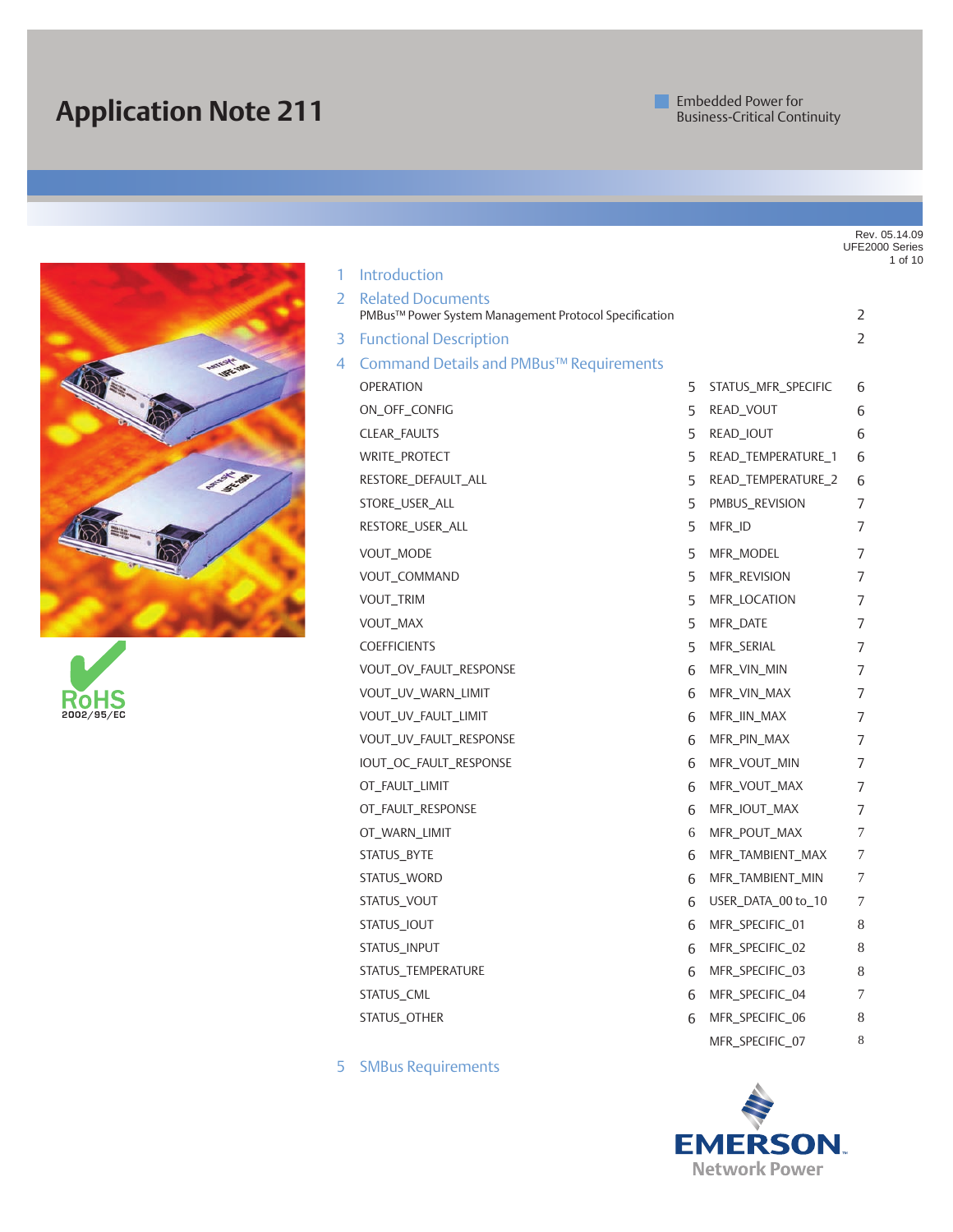# **Application Note 211**





|    |                                                                                   |    |                     | Rev. 05.14.09<br>UFE2000 Series<br>1 of 10 |
|----|-----------------------------------------------------------------------------------|----|---------------------|--------------------------------------------|
| 1  | Introduction                                                                      |    |                     |                                            |
| 2. | <b>Related Documents</b><br>PMBus™ Power System Management Protocol Specification |    |                     | 2                                          |
| 3  | <b>Functional Description</b>                                                     |    |                     | $\overline{2}$                             |
| 4  | Command Details and PMBus™ Requirements                                           |    |                     |                                            |
|    | <b>OPERATION</b>                                                                  | 5  | STATUS_MFR_SPECIFIC | 6                                          |
|    | ON_OFF_CONFIG                                                                     | 5  | READ_VOUT           | 6                                          |
|    | CLEAR_FAULTS                                                                      | 5  | READ_IOUT           | 6                                          |
|    | WRITE_PROTECT                                                                     | 5  | READ_TEMPERATURE_1  | 6                                          |
|    | RESTORE_DEFAULT_ALL                                                               | 5. | READ_TEMPERATURE_2  | 6                                          |
|    | STORE_USER_ALL                                                                    | 5  | PMBUS_REVISION      | 7                                          |
|    | RESTORE_USER_ALL                                                                  | 5. | MFR_ID              | 7                                          |
|    | VOUT_MODE                                                                         | 5  | MFR_MODEL           | 7                                          |
|    | VOUT_COMMAND                                                                      | 5  | MFR_REVISION        | 7                                          |
|    | VOUT_TRIM                                                                         | 5  | MFR_LOCATION        | 7                                          |
|    | VOUT_MAX                                                                          | 5  | MFR_DATE            | 7                                          |
|    | <b>COEFFICIENTS</b>                                                               | 5  | MFR_SERIAL          | 7                                          |
|    | VOUT_OV_FAULT_RESPONSE                                                            | 6  | MFR_VIN_MIN         | 7                                          |
|    | VOUT_UV_WARN_LIMIT                                                                | 6  | MFR_VIN_MAX         | 7                                          |
|    | VOUT_UV_FAULT_LIMIT                                                               | 6  | MFR_IIN_MAX         | 7                                          |
|    | VOUT_UV_FAULT_RESPONSE                                                            | 6  | MFR_PIN_MAX         | 7                                          |
|    | IOUT_OC_FAULT_RESPONSE                                                            | 6  | MFR_VOUT_MIN        | 7                                          |
|    | OT_FAULT_LIMIT                                                                    | 6  | MFR_VOUT_MAX        | 7                                          |
|    | OT_FAULT_RESPONSE                                                                 | 6  | MFR_IOUT_MAX        | 7                                          |
|    | OT_WARN_LIMIT                                                                     | 6  | MFR_POUT_MAX        | 7                                          |
|    | STATUS_BYTE                                                                       | 6  | MFR_TAMBIENT_MAX    | 7                                          |
|    | STATUS_WORD                                                                       | 6  | MFR_TAMBIENT_MIN    | 7                                          |
|    | STATUS_VOUT                                                                       | 6  | USER_DATA_00 to_10  | 7                                          |
|    | STATUS_IOUT                                                                       |    | 6 MFR_SPECIFIC_01   | 8                                          |
|    | STATUS_INPUT                                                                      | 6  | MFR_SPECIFIC_02     | 8                                          |
|    | STATUS_TEMPERATURE                                                                | 6  | MFR_SPECIFIC_03     | 8                                          |
|    | STATUS_CML                                                                        | 6  | MFR_SPECIFIC_04     | 7                                          |
|    | STATUS OTHER                                                                      | 6  | MFR_SPECIFIC_06     | 8                                          |
|    |                                                                                   |    | MFR_SPECIFIC_07     | $\,$ 8 $\,$                                |

5 SMBus Requirements

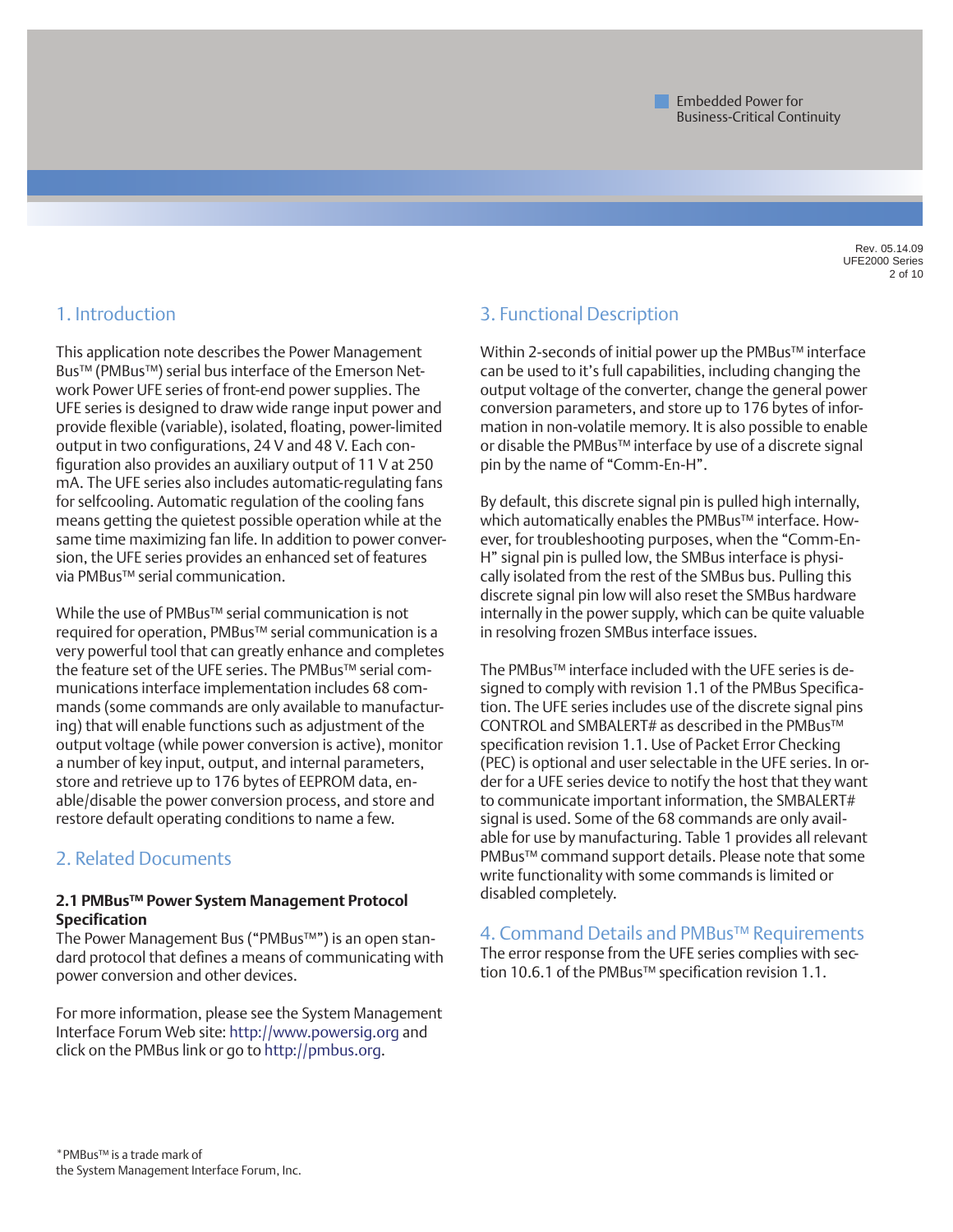Rev. 05.14.09 UFE2000 Series 2 of 10

### 1. Introduction

This application note describes the Power Management Bus™ (PMBus™) serial bus interface of the Emerson Network Power UFE series of front-end power supplies. The UFE series is designed to draw wide range input power and provide flexible (variable), isolated, floating, power-limited output in two configurations, 24 V and 48 V. Each configuration also provides an auxiliary output of 11 V at 250 mA. The UFE series also includes automatic-regulating fans for selfcooling. Automatic regulation of the cooling fans means getting the quietest possible operation while at the same time maximizing fan life. In addition to power conversion, the UFE series provides an enhanced set of features via PMBus™ serial communication.

While the use of PMBus™ serial communication is not required for operation, PMBus™ serial communication is a very powerful tool that can greatly enhance and completes the feature set of the UFE series. The PMBus™ serial communications interface implementation includes 68 commands (some commands are only available to manufacturing) that will enable functions such as adjustment of the output voltage (while power conversion is active), monitor a number of key input, output, and internal parameters, store and retrieve up to 176 bytes of EEPROM data, enable/disable the power conversion process, and store and restore default operating conditions to name a few.

## 2. Related Documents

#### **2.1 PMBus™ Power System Management Protocol Specification**

The Power Management Bus ("PMBus™") is an open standard protocol that defines a means of communicating with power conversion and other devices.

For more information, please see the System Management Interface Forum Web site: http://www.powersig.org and click on the PMBus link or go to http://pmbus.org.

### 3. Functional Description

Within 2-seconds of initial power up the PMBus™ interface can be used to it's full capabilities, including changing the output voltage of the converter, change the general power conversion parameters, and store up to 176 bytes of information in non-volatile memory. It is also possible to enable or disable the PMBus™ interface by use of a discrete signal pin by the name of "Comm-En-H".

By default, this discrete signal pin is pulled high internally, which automatically enables the PMBus™ interface. However, for troubleshooting purposes, when the "Comm-En-H" signal pin is pulled low, the SMBus interface is physically isolated from the rest of the SMBus bus. Pulling this discrete signal pin low will also reset the SMBus hardware internally in the power supply, which can be quite valuable in resolving frozen SMBus interface issues.

The PMBus™ interface included with the UFE series is designed to comply with revision 1.1 of the PMBus Specification. The UFE series includes use of the discrete signal pins CONTROL and SMBALERT# as described in the PMBus™ specification revision 1.1. Use of Packet Error Checking (PEC) is optional and user selectable in the UFE series. In order for a UFE series device to notify the host that they want to communicate important information, the SMBALERT# signal is used. Some of the 68 commands are only available for use by manufacturing. Table 1 provides all relevant PMBus™ command support details. Please note that some write functionality with some commands is limited or disabled completely.

4. Command Details and PMBus™ Requirements The error response from the UFE series complies with section 10.6.1 of the PMBus™ specification revision 1.1.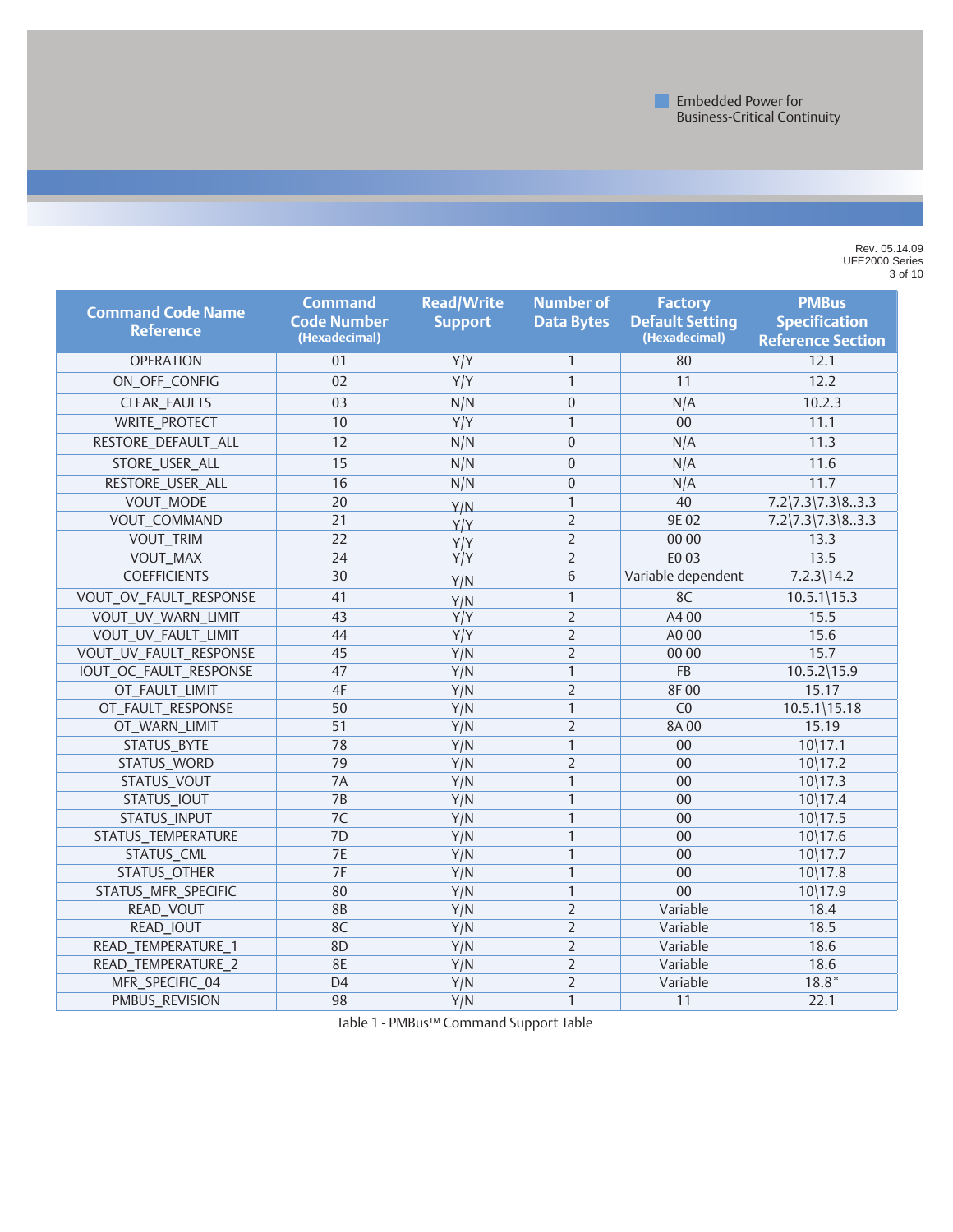Rev. 05.14.09 UFE2000 Series 3 of 10

| <b>Command Code Name</b><br><b>Reference</b> | <b>Command</b><br><b>Code Number</b><br>(Hexadecimal) | <b>Read/Write</b><br><b>Support</b> | <b>Number of</b><br><b>Data Bytes</b> | <b>Factory</b><br><b>Default Setting</b><br>(Hexadecimal) | <b>PMBus</b><br><b>Specification</b><br><b>Reference Section</b> |
|----------------------------------------------|-------------------------------------------------------|-------------------------------------|---------------------------------------|-----------------------------------------------------------|------------------------------------------------------------------|
| <b>OPERATION</b>                             | 01                                                    | Y/Y                                 | $\mathbf{1}$                          | 80                                                        | 12.1                                                             |
| ON_OFF_CONFIG                                | 02                                                    | $\overline{Y/Y}$                    | $\mathbf{1}$                          | 11                                                        | 12.2                                                             |
| CLEAR_FAULTS                                 | 03                                                    | N/N                                 | $\Omega$                              | N/A                                                       | 10.2.3                                                           |
| <b>WRITE_PROTECT</b>                         | 10                                                    | Y/Y                                 | $\mathbf{1}$                          | 00                                                        | 11.1                                                             |
| RESTORE_DEFAULT_ALL                          | 12                                                    | N/N                                 | $\Omega$                              | N/A                                                       | 11.3                                                             |
| STORE_USER_ALL                               | 15                                                    | N/N                                 | $\mathbf{0}$                          | N/A                                                       | 11.6                                                             |
| RESTORE_USER_ALL                             | 16                                                    | N/N                                 | $\Omega$                              | N/A                                                       | 11.7                                                             |
| VOUT_MODE                                    | 20                                                    | Y/N                                 | $\mathbf{1}$                          | 40                                                        | $7.2\frac{7.3}{7.3\frac{8.3.3}{9}}$                              |
| VOUT_COMMAND                                 | 21                                                    | Y/Y                                 | $\overline{2}$                        | 9E02                                                      | $7.2\frac{7.3}{7.3\frac{8.3.3}{9}}$                              |
| VOUT_TRIM                                    | 22                                                    | Y/Y                                 | $\overline{2}$                        | 00 00                                                     | 13.3                                                             |
| VOUT_MAX                                     | 24                                                    | Y/Y                                 | $\overline{2}$                        | E0 03                                                     | 13.5                                                             |
| <b>COEFFICIENTS</b>                          | 30                                                    | Y/N                                 | 6                                     | Variable dependent                                        | $7.2.3$   14.2                                                   |
| VOUT_OV_FAULT_RESPONSE                       | 41                                                    | Y/N                                 | $\mathbf{1}$                          | 8C                                                        | $10.5.1$   15.3                                                  |
| VOUT_UV_WARN_LIMIT                           | 43                                                    | Y/Y                                 | $\overline{2}$                        | A400                                                      | 15.5                                                             |
| VOUT_UV_FAULT_LIMIT                          | 44                                                    | Y/Y                                 | $\overline{2}$                        | A0 00                                                     | 15.6                                                             |
| VOUT_UV_FAULT_RESPONSE                       | 45                                                    | Y/N                                 | $\overline{2}$                        | 00 00                                                     | 15.7                                                             |
| IOUT_OC_FAULT_RESPONSE                       | 47                                                    | Y/N                                 | $\mathbf{1}$                          | FB                                                        | $10.5.2$   15.9                                                  |
| OT_FAULT_LIMIT                               | 4F                                                    | Y/N                                 | $\overline{2}$                        | 8F00                                                      | 15.17                                                            |
| OT_FAULT_RESPONSE                            | 50                                                    | Y/N                                 | $\mathbf{1}$                          | C <sub>0</sub>                                            | $10.5.1$ \15.18                                                  |
| OT_WARN_LIMIT                                | 51                                                    | Y/N                                 | $\overline{2}$                        | 8A00                                                      | 15.19                                                            |
| STATUS_BYTE                                  | 78                                                    | Y/N                                 | $\mathbf{1}$                          | 00                                                        | $10\backslash17.1$                                               |
| STATUS_WORD                                  | 79                                                    | Y/N                                 | $\overline{2}$                        | 00                                                        | $10\frac{17.2}{ }$                                               |
| STATUS_VOUT                                  | 7A                                                    | Y/N                                 | $\mathbf{1}$                          | 00                                                        | $10\backslash17.3$                                               |
| STATUS_IOUT                                  | 7B                                                    | Y/N                                 | $\mathbf{1}$                          | 00                                                        | $10\backslash17.4$                                               |
| STATUS_INPUT                                 | 7 <sup>C</sup>                                        | Y/N                                 | $\mathbf{1}$                          | 00                                                        | $10\backslash17.5$                                               |
| STATUS_TEMPERATURE                           | 7D                                                    | Y/N                                 | $\mathbf{1}$                          | 00                                                        | $10\backslash17.6$                                               |
| STATUS_CML                                   | 7E                                                    | Y/N                                 | $\mathbf{1}$                          | 00                                                        | $10\backslash17.7$                                               |
| STATUS_OTHER                                 | 7F                                                    | Y/N                                 | $\mathbf{1}$                          | 00                                                        | $10\frac{17.8}{ }$                                               |
| STATUS_MFR_SPECIFIC                          | 80                                                    | Y/N                                 | $\mathbf{1}$                          | 00                                                        | 10\17.9                                                          |
| READ_VOUT                                    | <b>8B</b>                                             | Y/N                                 | $\overline{2}$                        | Variable                                                  | 18.4                                                             |
| READ_IOUT                                    | 8C                                                    | Y/N                                 | $\overline{2}$                        | Variable                                                  | 18.5                                                             |
| READ_TEMPERATURE_1                           | 8D                                                    | Y/N                                 | $\overline{2}$                        | Variable                                                  | 18.6                                                             |
| READ_TEMPERATURE_2                           | <b>8E</b>                                             | Y/N                                 | $\overline{2}$                        | Variable                                                  | 18.6                                                             |
| MFR_SPECIFIC_04                              | D <sub>4</sub>                                        | Y/N                                 | $\overline{2}$                        | Variable                                                  | $18.8*$                                                          |
| PMBUS_REVISION                               | 98                                                    | Y/N                                 | $\mathbf{1}$                          | 11                                                        | 22.1                                                             |

Table 1 - PMBus™ Command Support Table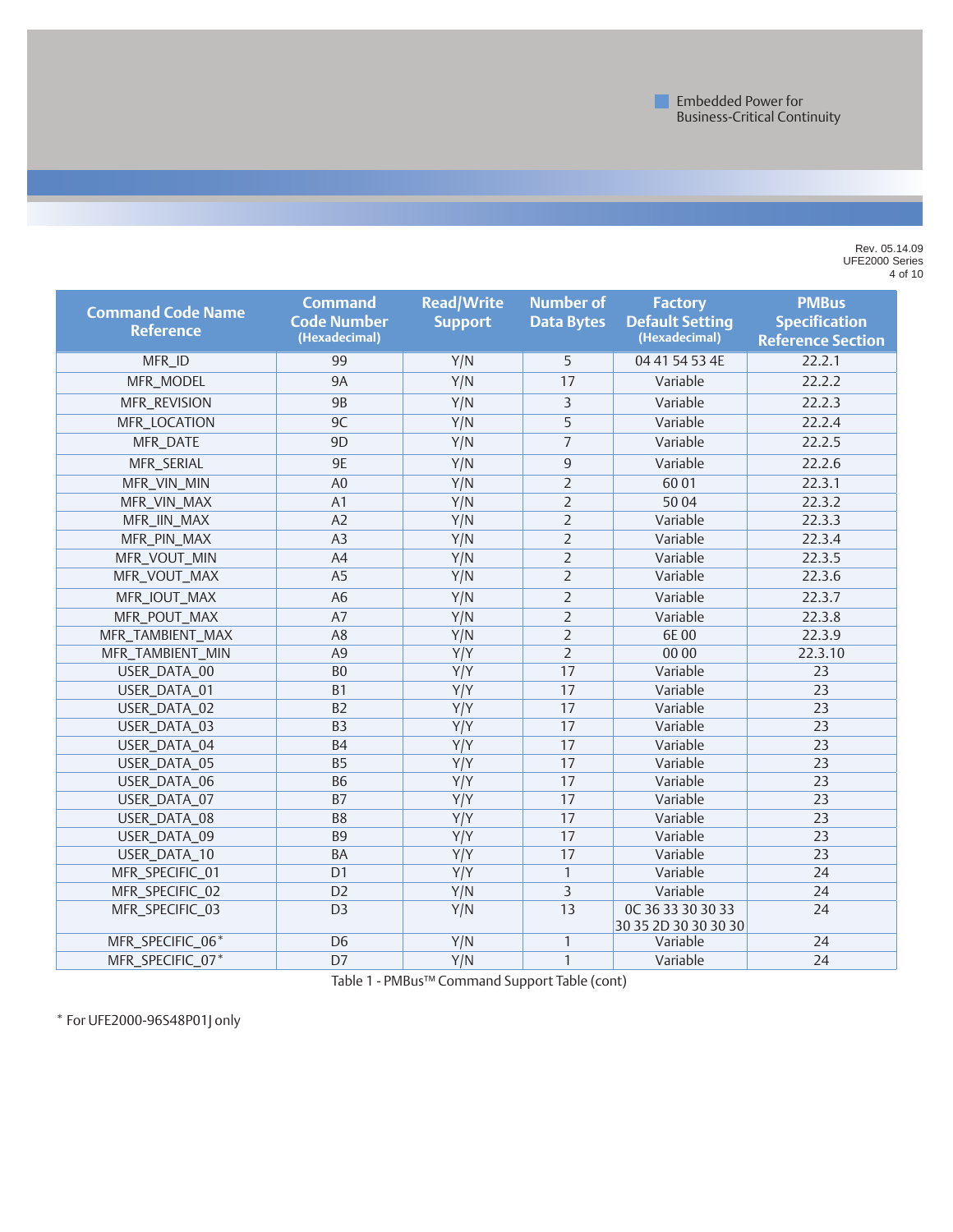Rev. 05.14.09 UFE2000 Series of 10

| <b>Command Code Name</b><br><b>Reference</b> | <b>Command</b><br><b>Code Number</b><br>(Hexadecimal) | <b>Read/Write</b><br><b>Support</b> | <b>Number of</b><br><b>Data Bytes</b> | <b>Factory</b><br><b>Default Setting</b><br>(Hexadecimal) | <b>PMBus</b><br><b>Specification</b><br><b>Reference Section</b> |
|----------------------------------------------|-------------------------------------------------------|-------------------------------------|---------------------------------------|-----------------------------------------------------------|------------------------------------------------------------------|
| MFR_ID                                       | 99                                                    | Y/N                                 | 5                                     | 04 41 54 53 4E                                            | 22.2.1                                                           |
| MFR_MODEL                                    | <b>9A</b>                                             | Y/N                                 | 17                                    | Variable                                                  | 22.2.2                                                           |
| MFR_REVISION                                 | <b>9B</b>                                             | Y/N                                 | 3                                     | Variable                                                  | 22.2.3                                                           |
| MFR_LOCATION                                 | 9C                                                    | Y/N                                 | 5                                     | Variable                                                  | 22.2.4                                                           |
| MFR_DATE                                     | 9 <sub>D</sub>                                        | Y/N                                 | $\overline{7}$                        | Variable                                                  | 22.2.5                                                           |
| MFR_SERIAL                                   | 9E                                                    | Y/N                                 | 9                                     | Variable                                                  | 22.2.6                                                           |
| MFR_VIN_MIN                                  | A <sub>0</sub>                                        | Y/N                                 | $\overline{2}$                        | 6001                                                      | 22.3.1                                                           |
| MFR_VIN_MAX                                  | A1                                                    | Y/N                                 | $\overline{2}$                        | 5004                                                      | 22.3.2                                                           |
| MFR_IIN_MAX                                  | A2                                                    | Y/N                                 | $\overline{2}$                        | Variable                                                  | 22.3.3                                                           |
| MFR_PIN_MAX                                  | A <sub>3</sub>                                        | Y/N                                 | $\overline{2}$                        | Variable                                                  | 22.3.4                                                           |
| MFR_VOUT_MIN                                 | A4                                                    | Y/N                                 | $\overline{2}$                        | Variable                                                  | 22.3.5                                                           |
| MFR_VOUT_MAX                                 | A <sub>5</sub>                                        | Y/N                                 | $\overline{2}$                        | Variable                                                  | 22.3.6                                                           |
| MFR_IOUT_MAX                                 | A <sub>6</sub>                                        | Y/N                                 | $\overline{2}$                        | Variable                                                  | 22.3.7                                                           |
| MFR_POUT_MAX                                 | A7                                                    | Y/N                                 | $\overline{2}$                        | Variable                                                  | 22.3.8                                                           |
| MFR_TAMBIENT_MAX                             | A <sub>8</sub>                                        | Y/N                                 | $\overline{2}$                        | 6E00                                                      | 22.3.9                                                           |
| MFR_TAMBIENT_MIN                             | A <sub>9</sub>                                        | Y/Y                                 | $\overline{2}$                        | 00 00                                                     | 22.3.10                                                          |
| USER_DATA_00                                 | B <sub>0</sub>                                        | Y/Y                                 | 17                                    | Variable                                                  | 23                                                               |
| USER_DATA_01                                 | <b>B1</b>                                             | Y/Y                                 | $\overline{17}$                       | Variable                                                  | 23                                                               |
| USER_DATA_02                                 | B <sub>2</sub>                                        | Y/Y                                 | 17                                    | Variable                                                  | 23                                                               |
| USER_DATA_03                                 | B <sub>3</sub>                                        | Y/Y                                 | 17                                    | Variable                                                  | 23                                                               |
| USER_DATA_04                                 | <b>B4</b>                                             | Y/Y                                 | 17                                    | Variable                                                  | 23                                                               |
| USER_DATA_05                                 | <b>B5</b>                                             | Y/Y                                 | 17                                    | Variable                                                  | 23                                                               |
| USER_DATA_06                                 | <b>B6</b>                                             | Y/Y                                 | 17                                    | Variable                                                  | 23                                                               |
| USER_DATA_07                                 | <b>B7</b>                                             | Y/Y                                 | 17                                    | Variable                                                  | 23                                                               |
| USER_DATA_08                                 | B <sub>8</sub>                                        | Y/Y                                 | 17                                    | Variable                                                  | 23                                                               |
| USER_DATA_09                                 | <b>B9</b>                                             | Y/Y                                 | 17                                    | Variable                                                  | 23                                                               |
| USER_DATA_10                                 | BA                                                    | Y/Y                                 | 17                                    | Variable                                                  | 23                                                               |
| MFR_SPECIFIC_01                              | D <sub>1</sub>                                        | Y/Y                                 | $\mathbf{1}$                          | Variable                                                  | 24                                                               |
| MFR_SPECIFIC_02                              | D <sub>2</sub>                                        | Y/N                                 | 3                                     | Variable                                                  | 24                                                               |
| MFR_SPECIFIC_03                              | D <sub>3</sub>                                        | Y/N                                 | 13                                    | OC 36 33 30 30 33<br>30 35 2D 30 30 30 30                 | 24                                                               |
| MFR_SPECIFIC_06*                             | D <sub>6</sub>                                        | Y/N                                 | $\mathbf{1}$                          | Variable                                                  | 24                                                               |
| MFR_SPECIFIC_07*                             | D7                                                    | Y/N                                 | $\mathbf{1}$                          | Variable                                                  | 24                                                               |

Table 1 - PMBus™ Command Support Table (cont)

\* For UFE2000-96S48P01J only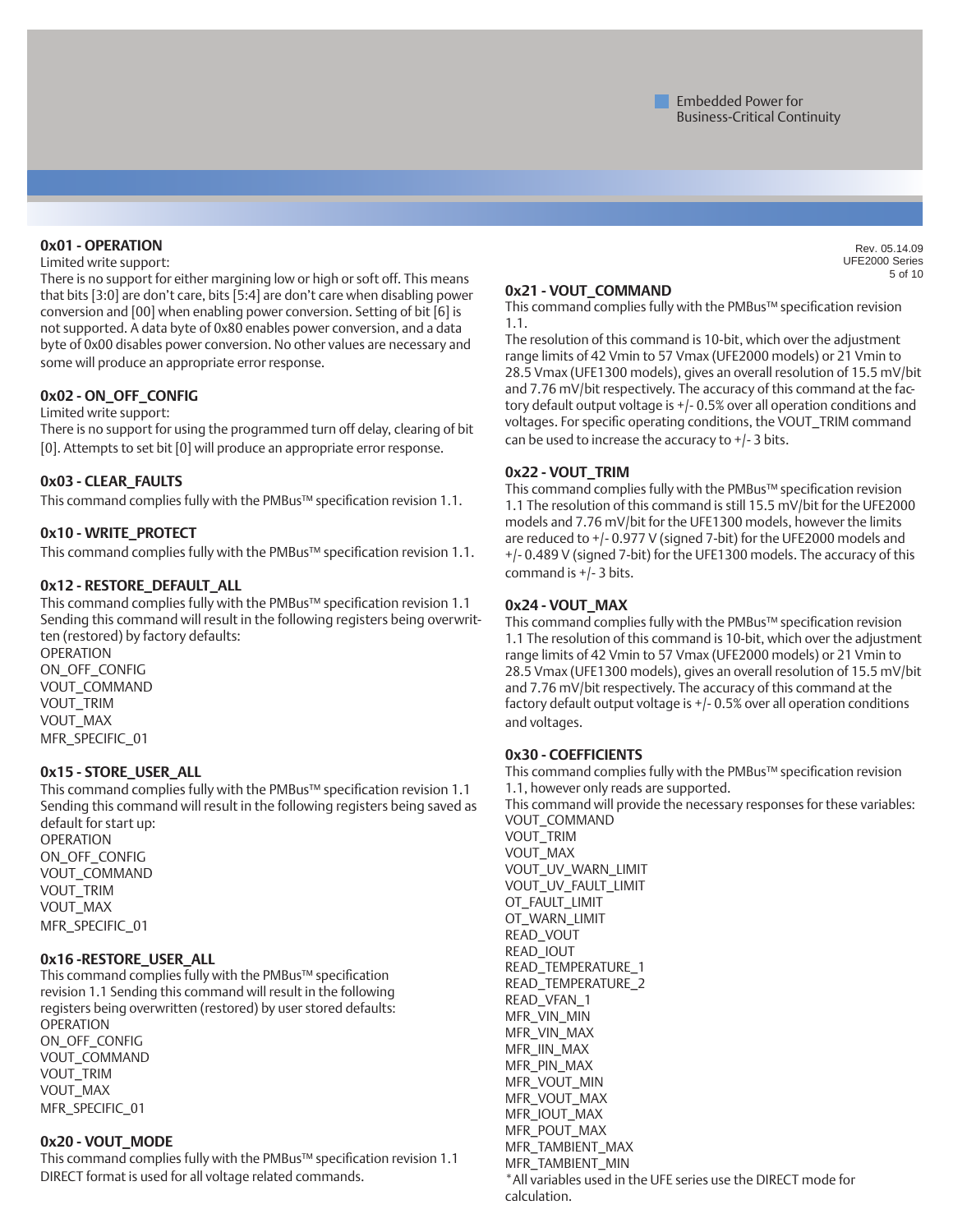#### **0x01 - OPERATION**

#### Limited write support:

There is no support for either margining low or high or soft off. This means that bits [3:0] are don't care, bits [5:4] are don't care when disabling power conversion and [00] when enabling power conversion. Setting of bit [6] is not supported. A data byte of 0x80 enables power conversion, and a data byte of 0x00 disables power conversion. No other values are necessary and some will produce an appropriate error response.

#### **0x02 - ON\_OFF\_CONFIG**

Limited write support:

There is no support for using the programmed turn off delay, clearing of bit [0]. Attempts to set bit [0] will produce an appropriate error response.

#### **0x03 - CLEAR\_FAULTS**

This command complies fully with the PMBus™ specification revision 1.1.

#### **0x10 - WRITE\_PROTECT**

This command complies fully with the PMBus™ specification revision 1.1.

#### **0x12 - RESTORE\_DEFAULT\_ALL**

This command complies fully with the PMBus™ specification revision 1.1 Sending this command will result in the following registers being overwritten (restored) by factory defaults: OPERATION

ON\_OFF\_CONFIG VOUT\_COMMAND VOUT\_TRIM VOUT\_MAX MFR\_SPECIFIC\_01

#### **0x15 - STORE\_USER\_ALL**

This command complies fully with the PMBus™ specification revision 1.1 Sending this command will result in the following registers being saved as default for start up:

OPERATION ON\_OFF\_CONFIG VOUT\_COMMAND VOUT\_TRIM VOUT\_MAX MFR\_SPECIFIC\_01

#### **0x16 -RESTORE\_USER\_ALL**

This command complies fully with the PMBus™ specification revision 1.1 Sending this command will result in the following registers being overwritten (restored) by user stored defaults: OPERATION ON\_OFF\_CONFIG VOUT\_COMMAND VOUT\_TRIM VOUT\_MAX MFR\_SPECIFIC\_01

#### **0x20 - VOUT\_MODE**

This command complies fully with the PMBus™ specification revision 1.1 DIRECT format is used for all voltage related commands.

### **0x21 - VOUT\_COMMAND**

This command complies fully with the PMBus™ specification revision 1.1.

The resolution of this command is 10-bit, which over the adjustment range limits of 42 Vmin to 57 Vmax (UFE2000 models) or 21 Vmin to 28.5 Vmax (UFE1300 models), gives an overall resolution of 15.5 mV/bit and 7.76 mV/bit respectively. The accuracy of this command at the factory default output voltage is +/- 0.5% over all operation conditions and voltages. For specific operating conditions, the VOUT\_TRIM command can be used to increase the accuracy to  $+/-3$  bits.

#### **0x22 - VOUT\_TRIM**

This command complies fully with the PMBus™ specification revision 1.1 The resolution of this command is still 15.5 mV/bit for the UFE2000 models and 7.76 mV/bit for the UFE1300 models, however the limits are reduced to +/- 0.977 V (signed 7-bit) for the UFE2000 models and +/- 0.489 V (signed 7-bit) for the UFE1300 models. The accuracy of this command is +/- 3 bits.

#### **0x24 - VOUT\_MAX**

This command complies fully with the PMBus™ specification revision 1.1 The resolution of this command is 10-bit, which over the adjustment range limits of 42 Vmin to 57 Vmax (UFE2000 models) or 21 Vmin to 28.5 Vmax (UFE1300 models), gives an overall resolution of 15.5 mV/bit and 7.76 mV/bit respectively. The accuracy of this command at the factory default output voltage is +/- 0.5% over all operation conditions and voltages.

#### **0x30 - COEFFICIENTS**

This command complies fully with the PMBus™ specification revision 1.1, however only reads are supported. This command will provide the necessary responses for these variables: VOUT\_COMMAND VOUT\_TRIM VOUT\_MAX VOUT\_UV\_WARN\_LIMIT VOUT\_UV\_FAULT\_LIMIT OT\_FAULT\_LIMIT OT\_WARN\_LIMIT READ\_VOUT READ\_IOUT READ\_TEMPERATURE\_1 READ\_TEMPERATURE\_2 READ\_VFAN\_1 MFR\_VIN\_MIN MFR\_VIN\_MAX MFR\_IIN\_MAX MFR\_PIN\_MAX MFR\_VOUT\_MIN MFR\_VOUT\_MAX MFR\_IOUT\_MAX MFR\_POUT\_MAX MFR\_TAMBIENT\_MAX MFR\_TAMBIENT\_MIN \*All variables used in the UFE series use the DIRECT mode for calculation.

Rev. 05.14.09 UFE2000 Series of 10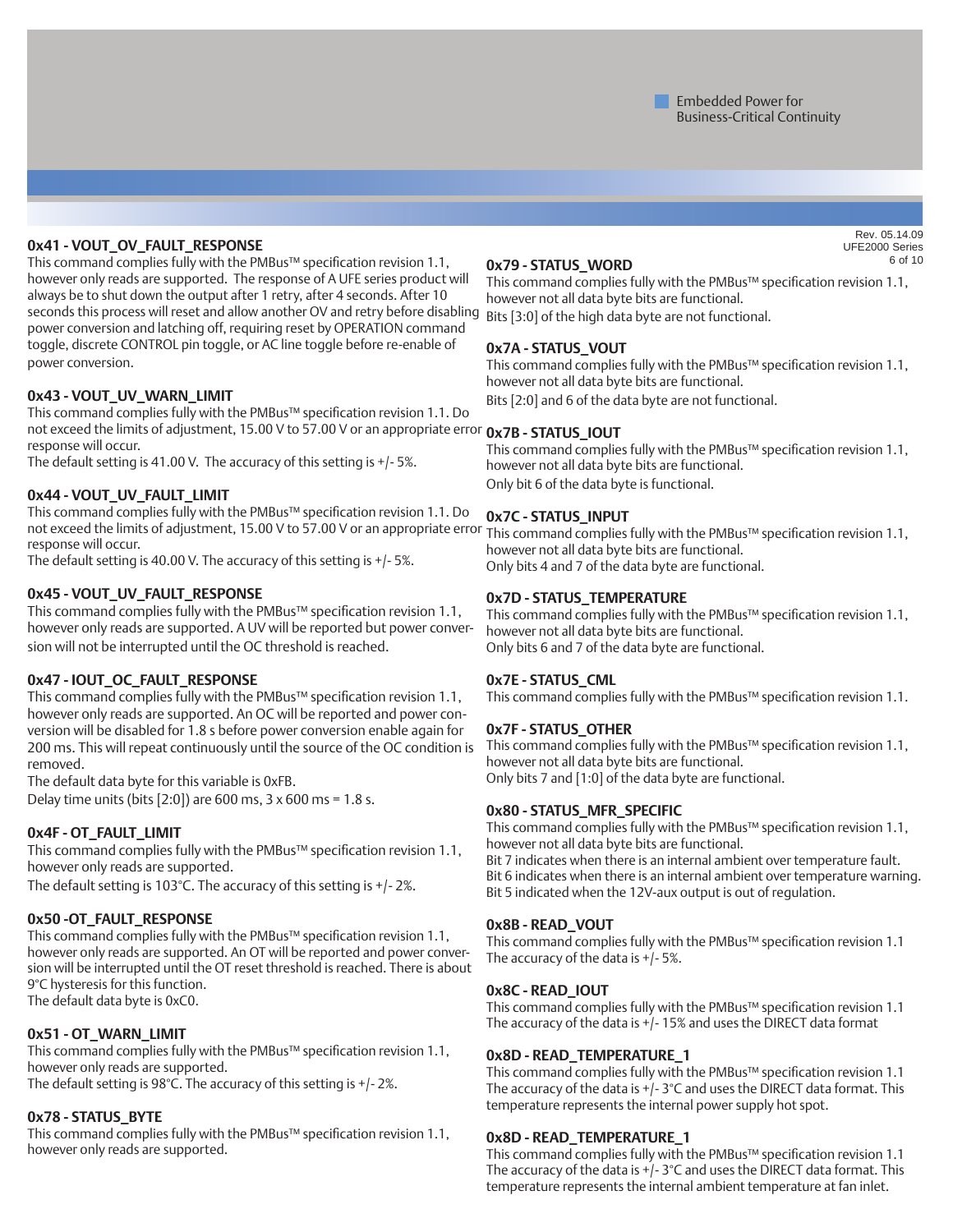#### **0x41 - VOUT\_OV\_FAULT\_RESPONSE**

This command complies fully with the PMBus™ specification revision 1.1, however only reads are supported. The response of A UFE series product will always be to shut down the output after 1 retry, after 4 seconds. After 10 seconds this process will reset and allow another OV and retry before disabling power conversion and latching off, requiring reset by OPERATION command toggle, discrete CONTROL pin toggle, or AC line toggle before re-enable of power conversion.

#### **0x43 - VOUT\_UV\_WARN\_LIMIT**

This command complies fully with the PMBus™ specification revision 1.1. Do not exceed the limits of adjustment, 15.00 V to 57.00 V or an appropriate error **0x7B - STATUS\_IOUT** response will occur.

The default setting is 41.00 V. The accuracy of this setting is +/- 5%.

#### **0x44 - VOUT\_UV\_FAULT\_LIMIT**

This command complies fully with the PMBus™ specification revision 1.1. Do not exceed the limits of adjustment, 15.00 V to 57.00 V or an appropriate error This command complies fully with the PMBus™ specification revision 1.1, response will occur.

The default setting is 40.00 V. The accuracy of this setting is +/- 5%.

#### **0x45 - VOUT\_UV\_FAULT\_RESPONSE**

This command complies fully with the PMBus™ specification revision 1.1, however only reads are supported. A UV will be reported but power conversion will not be interrupted until the OC threshold is reached.

#### **0x47 - IOUT\_OC\_FAULT\_RESPONSE**

This command complies fully with the PMBus™ specification revision 1.1, however only reads are supported. An OC will be reported and power conversion will be disabled for 1.8 s before power conversion enable again for 200 ms. This will repeat continuously until the source of the OC condition is removed.

The default data byte for this variable is 0xFB.

Delay time units (bits [2:0]) are 600 ms,  $3 \times 600$  ms = 1.8 s.

#### **0x4F - OT\_FAULT\_LIMIT**

This command complies fully with the PMBus™ specification revision 1.1, however only reads are supported.

The default setting is 103°C. The accuracy of this setting is +/- 2%.

#### **0x50 -OT\_FAULT\_RESPONSE**

This command complies fully with the PMBus™ specification revision 1.1, however only reads are supported. An OT will be reported and power conversion will be interrupted until the OT reset threshold is reached. There is about 9°C hysteresis for this function. The default data byte is 0xC0.

#### **0x51 - OT\_WARN\_LIMIT**

This command complies fully with the PMBus™ specification revision 1.1, however only reads are supported. The default setting is 98°C. The accuracy of this setting is +/- 2%.

#### **0x78 - STATUS\_BYTE**

This command complies fully with the PMBus™ specification revision 1.1, however only reads are supported.

#### **0x79 - STATUS\_WORD**

This command complies fully with the PMBus™ specification revision 1.1, however not all data byte bits are functional. Bits [3:0] of the high data byte are not functional.

#### **0x7A - STATUS\_VOUT**

This command complies fully with the PMBus™ specification revision 1.1, however not all data byte bits are functional. Bits [2:0] and 6 of the data byte are not functional.

This command complies fully with the PMBus™ specification revision 1.1, however not all data byte bits are functional. Only bit 6 of the data byte is functional.

#### **0x7C - STATUS\_INPUT**

however not all data byte bits are functional. Only bits 4 and 7 of the data byte are functional.

#### **0x7D - STATUS\_TEMPERATURE**

This command complies fully with the PMBus™ specification revision 1.1, however not all data byte bits are functional. Only bits 6 and 7 of the data byte are functional.

#### **0x7E - STATUS\_CML**

This command complies fully with the PMBus™ specification revision 1.1.

#### **0x7F - STATUS\_OTHER**

This command complies fully with the PMBus™ specification revision 1.1, however not all data byte bits are functional. Only bits 7 and [1:0] of the data byte are functional.

#### **0x80 - STATUS\_MFR\_SPECIFIC**

This command complies fully with the PMBus™ specification revision 1.1, however not all data byte bits are functional.

Bit 7 indicates when there is an internal ambient over temperature fault. Bit 6 indicates when there is an internal ambient over temperature warning. Bit 5 indicated when the 12V-aux output is out of regulation.

#### **0x8B - READ\_VOUT**

This command complies fully with the PMBus™ specification revision 1.1 The accuracy of the data is  $+/-5\%$ .

#### **0x8C - READ\_IOUT**

This command complies fully with the PMBus™ specification revision 1.1 The accuracy of the data is +/- 15% and uses the DIRECT data format

#### **0x8D - READ\_TEMPERATURE\_1**

This command complies fully with the PMBus™ specification revision 1.1 The accuracy of the data is +/- 3°C and uses the DIRECT data format. This temperature represents the internal power supply hot spot.

#### **0x8D - READ\_TEMPERATURE\_1**

This command complies fully with the PMBus™ specification revision 1.1 The accuracy of the data is +/- 3°C and uses the DIRECT data format. This temperature represents the internal ambient temperature at fan inlet.

Rev. 05.14.09 UFE2000 Series of 10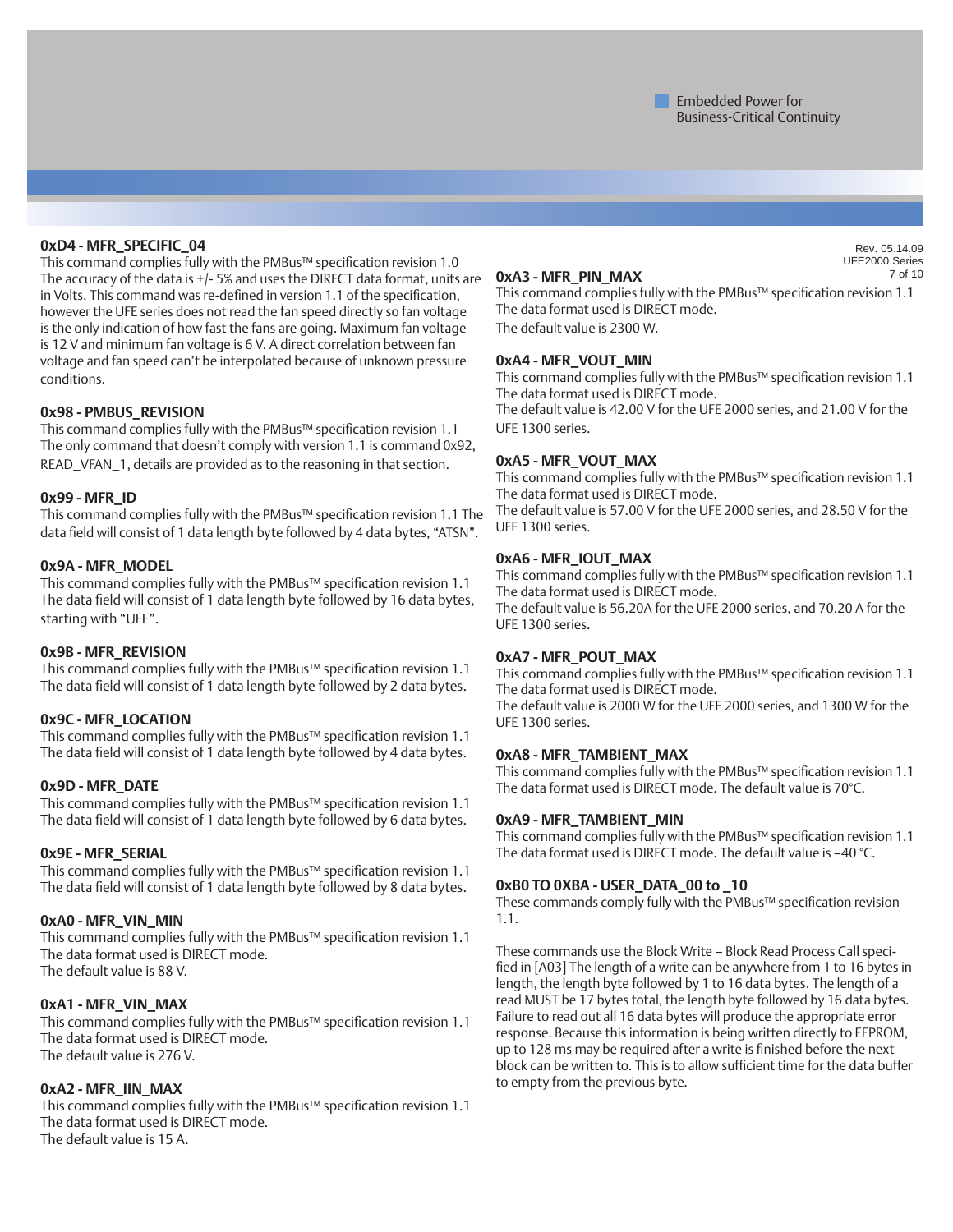#### **0xD4 - MFR\_SPECIFIC\_04**

This command complies fully with the PMBus™ specification revision 1.0 The accuracy of the data is +/- 5% and uses the DIRECT data format, units are in Volts. This command was re-defined in version 1.1 of the specification, however the UFE series does not read the fan speed directly so fan voltage is the only indication of how fast the fans are going. Maximum fan voltage is 12 V and minimum fan voltage is 6 V. A direct correlation between fan voltage and fan speed can't be interpolated because of unknown pressure conditions.

#### **0x98 - PMBUS\_REVISION**

This command complies fully with the PMBus™ specification revision 1.1 The only command that doesn't comply with version 1.1 is command 0x92, READ\_VFAN\_1, details are provided as to the reasoning in that section.

#### **0x99 - MFR\_ID**

This command complies fully with the PMBus™ specification revision 1.1 The data field will consist of 1 data length byte followed by 4 data bytes, "ATSN".

#### **0x9A - MFR\_MODEL**

This command complies fully with the PMBus™ specification revision 1.1 The data field will consist of 1 data length byte followed by 16 data bytes, starting with "UFE".

#### **0x9B - MFR\_REVISION**

This command complies fully with the PMBus™ specification revision 1.1 The data field will consist of 1 data length byte followed by 2 data bytes.

#### **0x9C - MFR\_LOCATION**

This command complies fully with the PMBus™ specification revision 1.1 The data field will consist of 1 data length byte followed by 4 data bytes.

#### **0x9D - MFR\_DATE**

This command complies fully with the PMBus™ specification revision 1.1 The data field will consist of 1 data length byte followed by 6 data bytes.

#### **0x9E - MFR\_SERIAL**

This command complies fully with the PMBus™ specification revision 1.1 The data field will consist of 1 data length byte followed by 8 data bytes.

#### **0xA0 - MFR\_VIN\_MIN**

This command complies fully with the PMBus™ specification revision 1.1 The data format used is DIRECT mode. The default value is 88 V.

#### **0xA1 - MFR\_VIN\_MAX**

This command complies fully with the PMBus™ specification revision 1.1 The data format used is DIRECT mode. The default value is 276 V.

#### **0xA2 - MFR\_IIN\_MAX**

This command complies fully with the PMBus™ specification revision 1.1 The data format used is DIRECT mode. The default value is 15 A.

#### **0xA3 - MFR\_PIN\_MAX**

This command complies fully with the PMBus™ specification revision 1.1 The data format used is DIRECT mode. The default value is 2300 W.

#### **0xA4 - MFR\_VOUT\_MIN**

This command complies fully with the PMBus™ specification revision 1.1 The data format used is DIRECT mode. The default value is 42.00 V for the UFE 2000 series, and 21.00 V for the UFE 1300 series.

#### **0xA5 - MFR\_VOUT\_MAX**

This command complies fully with the PMBus™ specification revision 1.1 The data format used is DIRECT mode. The default value is 57.00 V for the UFE 2000 series, and 28.50 V for the UFE 1300 series.

#### **0xA6 - MFR\_IOUT\_MAX**

This command complies fully with the PMBus™ specification revision 1.1 The data format used is DIRECT mode.

The default value is 56.20A for the UFE 2000 series, and 70.20 A for the UFE 1300 series.

#### **0xA7 - MFR\_POUT\_MAX**

This command complies fully with the PMBus™ specification revision 1.1 The data format used is DIRECT mode.

The default value is 2000 W for the UFE 2000 series, and 1300 W for the UFE 1300 series.

#### **0xA8 - MFR\_TAMBIENT\_MAX**

This command complies fully with the PMBus™ specification revision 1.1 The data format used is DIRECT mode. The default value is 70°C.

#### **0xA9 - MFR\_TAMBIENT\_MIN**

This command complies fully with the PMBus™ specification revision 1.1 The data format used is DIRECT mode. The default value is –40 °C.

#### **0xB0 TO 0XBA - USER\_DATA\_00 to \_10**

These commands comply fully with the PMBus™ specification revision 1.1.

These commands use the Block Write – Block Read Process Call specified in [A03] The length of a write can be anywhere from 1 to 16 bytes in length, the length byte followed by 1 to 16 data bytes. The length of a read MUST be 17 bytes total, the length byte followed by 16 data bytes. Failure to read out all 16 data bytes will produce the appropriate error response. Because this information is being written directly to EEPROM, up to 128 ms may be required after a write is finished before the next block can be written to. This is to allow sufficient time for the data buffer to empty from the previous byte.

Rev. 05.14.09 UFE2000 Series of 10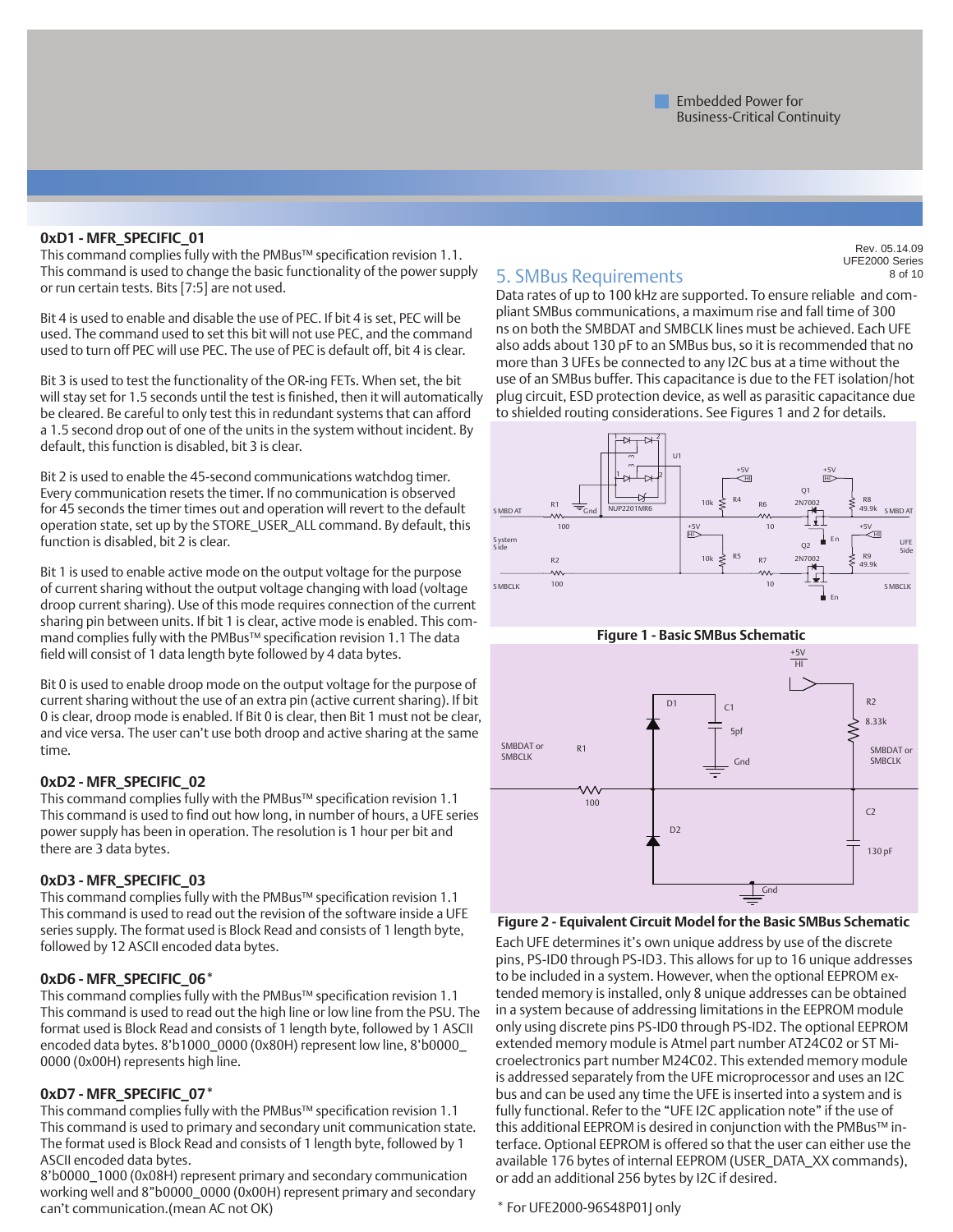#### **0xD1 - MFR\_SPECIFIC\_01**

This command complies fully with the PMBus™ specification revision 1.1. This command is used to change the basic functionality of the power supply or run certain tests. Bits [7:5] are not used.

Bit 4 is used to enable and disable the use of PEC. If bit 4 is set, PEC will be used. The command used to set this bit will not use PEC, and the command used to turn off PEC will use PEC. The use of PEC is default off, bit 4 is clear.

Bit 3 is used to test the functionality of the OR-ing FETs. When set, the bit will stay set for 1.5 seconds until the test is finished, then it will automatically be cleared. Be careful to only test this in redundant systems that can afford a 1.5 second drop out of one of the units in the system without incident. By default, this function is disabled, bit 3 is clear.

Bit 2 is used to enable the 45-second communications watchdog timer. Every communication resets the timer. If no communication is observed for 45 seconds the timer times out and operation will revert to the default operation state, set up by the STORE\_USER\_ALL command. By default, this function is disabled, bit 2 is clear.

Bit 1 is used to enable active mode on the output voltage for the purpose of current sharing without the output voltage changing with load (voltage droop current sharing). Use of this mode requires connection of the current sharing pin between units. If bit 1 is clear, active mode is enabled. This command complies fully with the PMBus™ specification revision 1.1 The data field will consist of 1 data length byte followed by 4 data bytes.

Bit 0 is used to enable droop mode on the output voltage for the purpose of current sharing without the use of an extra pin (active current sharing). If bit 0 is clear, droop mode is enabled. If Bit 0 is clear, then Bit 1 must not be clear, and vice versa. The user can't use both droop and active sharing at the same time.

#### **0xD2 - MFR\_SPECIFIC\_02**

This command complies fully with the PMBus™ specification revision 1.1 This command is used to find out how long, in number of hours, a UFE series power supply has been in operation. The resolution is 1 hour per bit and there are 3 data bytes.

#### **0xD3 - MFR\_SPECIFIC\_03**

This command complies fully with the PMBus™ specification revision 1.1 This command is used to read out the revision of the software inside a UFE series supply. The format used is Block Read and consists of 1 length byte, followed by 12 ASCII encoded data bytes.

#### **0xD6 - MFR\_SPECIFIC\_06\***

This command complies fully with the PMBus™ specification revision 1.1 This command is used to read out the high line or low line from the PSU. The format used is Block Read and consists of 1 length byte, followed by 1 ASCII encoded data bytes. 8'b1000\_0000 (0x80H) represent low line, 8'b0000\_ 0000 (0x00H) represents high line.

#### **0xD7 - MFR\_SPECIFIC\_07\***

This command complies fully with the PMBus™ specification revision 1.1 This command is used to primary and secondary unit communication state. The format used is Block Read and consists of 1 length byte, followed by 1 ASCII encoded data bytes.

8'b0000\_1000 (0x08H) represent primary and secondary communication working well and 8"b0000\_0000 (0x00H) represent primary and secondary can't communication.(mean AC not OK)

### 5. SMBus Requirements

Rev. 05.14.09 UFE2000 Series of 10

Data rates of up to 100 kHz are supported. To ensure reliable and compliant SMBus communications, a maximum rise and fall time of 300 ns on both the SMBDAT and SMBCLK lines must be achieved. Each UFE also adds about 130 pF to an SMBus bus, so it is recommended that no more than 3 UFEs be connected to any I2C bus at a time without the use of an SMBus buffer. This capacitance is due to the FET isolation/hot plug circuit, ESD protection device, as well as parasitic capacitance due to shielded routing considerations. See Figures 1 and 2 for details.





#### **Figure 2 - Equivalent Circuit Model for the Basic SMBus Schematic**

Each UFE determines it's own unique address by use of the discrete pins, PS-ID0 through PS-ID3. This allows for up to 16 unique addresses to be included in a system. However, when the optional EEPROM extended memory is installed, only 8 unique addresses can be obtained in a system because of addressing limitations in the EEPROM module only using discrete pins PS-ID0 through PS-ID2. The optional EEPROM extended memory module is Atmel part number AT24C02 or ST Microelectronics part number M24C02. This extended memory module is addressed separately from the UFE microprocessor and uses an I2C bus and can be used any time the UFE is inserted into a system and is fully functional. Refer to the "UFE I2C application note" if the use of this additional EEPROM is desired in conjunction with the PMBus™ interface. Optional EEPROM is offered so that the user can either use the available 176 bytes of internal EEPROM (USER\_DATA\_XX commands), or add an additional 256 bytes by I2C if desired.

#### \* For UFE2000-96S48P01J only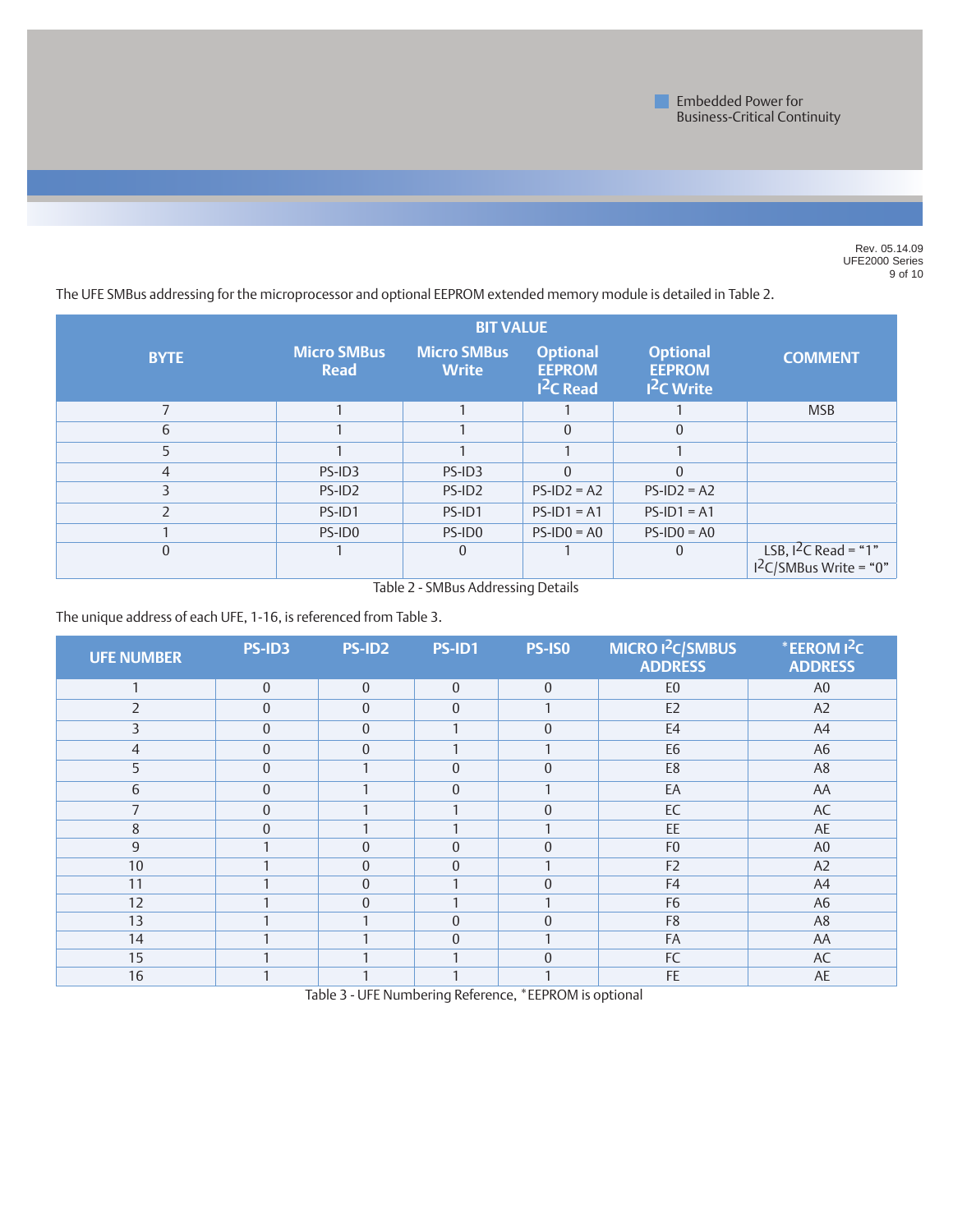

Rev. 05.14.09 UFE2000 Series of 10

The UFE SMBus addressing for the microprocessor and optional EEPROM extended memory module is detailed in Table 2. **BIT VALUE**

| <b>BYTE</b> | <b>Micro SMBus</b><br><b>Read</b> | <b>Micro SMBus</b><br><b>Write</b> | <b>Optional</b><br><b>EEPROM</b><br>$I2C$ Read | <b>Optional</b><br><b>EEPROM</b><br><sup>2</sup> C Write | <b>COMMENT</b>                                     |
|-------------|-----------------------------------|------------------------------------|------------------------------------------------|----------------------------------------------------------|----------------------------------------------------|
|             |                                   |                                    |                                                |                                                          | <b>MSB</b>                                         |
| 6           |                                   |                                    | 0                                              | 0                                                        |                                                    |
|             |                                   |                                    |                                                |                                                          |                                                    |
| 4           | PS-ID3                            | PS-ID3                             | $\Omega$                                       | 0                                                        |                                                    |
|             | PS-ID <sub>2</sub>                | PS-ID <sub>2</sub>                 | $PS-ID2 = A2$                                  | $PS-ID2 = A2$                                            |                                                    |
|             | PS-ID1                            | PS-ID1                             | $PS-ID1 = A1$                                  | $PS-ID1 = A1$                                            |                                                    |
|             | PS-ID0                            | PS-ID0                             | $PS-ID0 = AO$                                  | $PS-ID0 = AO$                                            |                                                    |
| $\Omega$    |                                   | 0                                  |                                                | 0                                                        | LSB, $1^2C$ Read = "1"<br>$1^2C/5MBus$ Write = "0" |

Table 2 - SMBus Addressing Details

The unique address of each UFE, 1-16, is referenced from Table 3.

| <b>UFE NUMBER</b> | PS-ID3           | PS-ID2         | PS-ID1           | <b>PS-ISO</b>  | MICRO <sup>2</sup> C/SMBUS<br><b>ADDRESS</b> | *EEROM <sup>2</sup> C<br><b>ADDRESS</b> |
|-------------------|------------------|----------------|------------------|----------------|----------------------------------------------|-----------------------------------------|
| $\mathbf{1}$      | $\mathbf 0$      | $\mathbf{0}$   | $\mathbf{0}$     | $\mathbf{0}$   | E <sub>0</sub>                               | A <sub>0</sub>                          |
| $\overline{2}$    | $\mathbf 0$      | $\overline{0}$ | $\boldsymbol{0}$ | $\mathbf{1}$   | E <sub>2</sub>                               | A2                                      |
| 3                 | $\boldsymbol{0}$ | $\mathbf{0}$   |                  | $\mathbf{0}$   | E <sub>4</sub>                               | A4                                      |
| $\overline{4}$    | $\mathbf{0}$     | $\overline{0}$ |                  |                | E <sub>6</sub>                               | A <sub>6</sub>                          |
| 5                 | $\mathbf{0}$     |                | $\Omega$         | $\mathbf{0}$   | E8                                           | A <sub>8</sub>                          |
| 6                 | $\boldsymbol{0}$ |                | $\overline{0}$   |                | EA                                           | AA                                      |
|                   | $\mathbf 0$      |                |                  | $\mathbf{0}$   | EC                                           | AC                                      |
| 8                 | $\boldsymbol{0}$ |                |                  |                | EE                                           | AE                                      |
| 9                 |                  | $\overline{0}$ | $\overline{0}$   | $\mathbf{0}$   | F <sub>0</sub>                               | A <sub>0</sub>                          |
| 10                |                  | $\overline{0}$ | $\overline{0}$   |                | F <sub>2</sub>                               | A2                                      |
| 11                |                  | 0              |                  | $\overline{0}$ | F4                                           | A4                                      |
| 12                |                  | $\overline{0}$ |                  |                | F <sub>6</sub>                               | A <sub>6</sub>                          |
| 13                |                  |                | $\overline{0}$   | $\overline{0}$ | F8                                           | A <sub>8</sub>                          |
| 14                |                  |                | $\overline{0}$   |                | FA                                           | AA                                      |
| 15                |                  |                |                  | $\overline{0}$ | FC                                           | AC                                      |
| 16                |                  |                |                  |                | FE                                           | AE                                      |

Table 3 - UFE Numbering Reference, \*EEPROM is optional